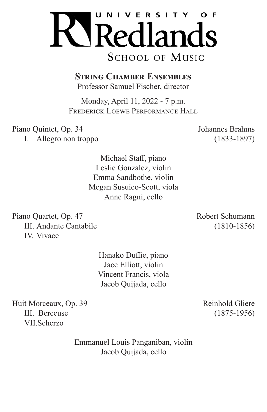

**String Chamber Ensembles** 

Professor Samuel Fischer, director

Monday, April 11, 2022 - 7 p.m. Frederick Loewe Performance Hall

Piano Quintet, Op. 34 Johannes Brahms I. Allegro non troppo (1833-1897)

Michael Staff, piano Leslie Gonzalez, violin Emma Sandbothe, violin Megan Susuico-Scott, viola Anne Ragni, cello

Piano Quartet, Op. 47 Robert Schumann III. Andante Cantabile (1810-1856) IV. Vivace

> Hanako Duffie, piano Jace Elliott, violin Vincent Francis, viola Jacob Quijada, cello

Huit Morceaux, Op. 39 Reinhold Gliere III. Berceuse (1875-1956) VII.Scherzo

> Emmanuel Louis Panganiban, violin Jacob Quijada, cello